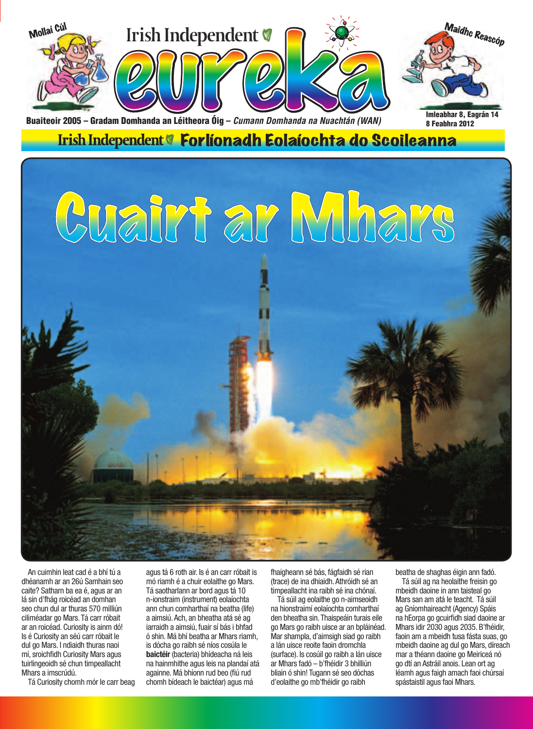

Irish Independent <sup>o</sup> Forlíonadh Eolaíochta do Scoileanna

# Cuairt ar Mhars

An cuimhin leat cad é a bhí tú a dhéanamh ar an 26ú Samhain seo caite? Satharn ba ea é, agus ar an lá sin d'fhág roicéad an domhan seo chun dul ar thuras 570 milliún ciliméadar go Mars. Tá carr róbait ar an roicéad. Curiosity is ainm dó! Is é Curiosity an séú carr róbait le dul go Mars. I ndiaidh thuras naoi mí, sroichfidh Curiosity Mars agus tuirlingeoidh sé chun timpeallacht Mhars a imscrúdú.

Tá Curiosity chomh mór le carr beag

agus tá 6 roth air. Is é an carr róbait is mó riamh é a chuir eolaithe go Mars. Tá saotharlann ar bord agus tá 10 n-ionstraim (instrument) eolaíochta ann chun comharthaí na beatha (life) a aimsiú. Ach, an bheatha atá sé ag iarraidh a aimsiú, fuair sí bás i bhfad ó shin. Má bhí beatha ar Mhars riamh, is dócha go raibh sé níos cosúla le **baictéir** (bacteria) bhídeacha ná leis na hainmhithe agus leis na plandaí atá againne. Má bhíonn rud beo (fiú rud chomh bídeach le baictéar) agus má

fhaigheann sé bás, fágfaidh sé rian (trace) de ina dhiaidh. Athróidh sé an timpeallacht ina raibh sé ina chónaí.

Tá súil ag eolaithe go n-aimseoidh na hionstraimí eolaíochta comharthaí den bheatha sin. Thaispeáin turais eile go Mars go raibh uisce ar an bpláinéad. Mar shampla, d'aimsigh siad go raibh a lán uisce reoite faoin dromchla (surface). Is cosúil go raibh a lán uisce ar Mhars fadó – b'fhéidir 3 bhilliún bliain ó shin! Tugann sé seo dóchas d'eolaithe go mb'fhéidir go raibh

beatha de shaghas éigin ann fadó.

Tá súil ag na heolaithe freisin go mbeidh daoine in ann taisteal go Mars san am atá le teacht. Tá súil ag Gníomhaireacht (Agency) Spáis na hEorpa go gcuirfidh siad daoine ar Mhars idir 2030 agus 2035. B'fhéidir, faoin am a mbeidh tusa fásta suas, go mbeidh daoine ag dul go Mars, díreach mar a théann daoine go Meiriceá nó go dtí an Astráil anois. Lean ort ag léamh agus faigh amach faoi chúrsaí spástaistil agus faoi Mhars.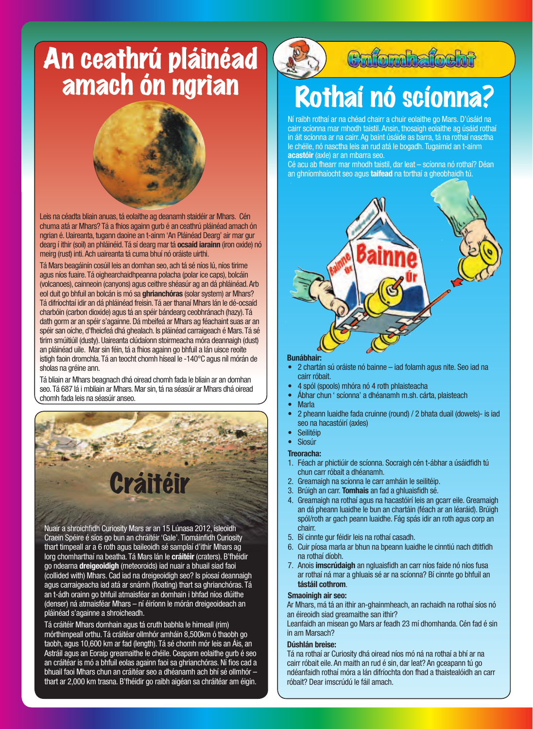# An ceathrú pláinéad amach ón ngrian



Leis na céadta bliain anuas, tá eolaithe ag deanamh staidéir ar Mhars. Cén chuma atá ar Mhars? Tá a fhios againn gurb é an ceathrú pláinéad amach ón ngrian é. Uaireanta, tugann daoine an t-ainm 'An Pláinéad Dearg' air mar gur dearg í ithir (soil) an phláinéid. Tá sí dearg mar tá **ocsaíd iarainn** (iron oxide) nó meirg (rust) inti. Ach uaireanta tá cuma bhuí nó oráiste uirthi.

Tá Mars beagáinín cosúil leis an domhan seo, ach tá sé níos lú, níos tirime agus níos fuaire. Tá oighearchaidhpeanna polacha (polar ice caps), bolcáin (volcanoes), cainneoin (canyons) agus ceithre shéasúr ag an dá phláinéad. Arb eol duit go bhfuil an bolcán is mó sa **ghrianchóras** (solar system) ar Mhars? Tá difríochtaí idir an dá phláinéad freisin. Tá aer thanaí Mhars lán le dé-ocsaíd charbóin (carbon dioxide) agus tá an spéir bándearg ceobhránach (hazy). Tá dath gorm ar an spéir s'againne. Dá mbeifeá ar Mhars ag féachaint suas ar an spéir san oíche, d'fheicfeá dhá ghealach. Is pláinéad carraigeach é Mars. Tá sé tirim smúitiúil (dusty). Uaireanta clúdaíonn stoirmeacha móra deannaigh (dust) an pláinéad uile. Mar sin féin, tá a fhios againn go bhfuil a lán uisce reoite istigh faoin dromchla. Tá an teocht chomh híseal le -140°C agus níl mórán de sholas na gréine ann.

Tá bliain ar Mhars beagnach dhá oiread chomh fada le bliain ar an domhan seo. Tá 687 lá i mbliain ar Mhars. Mar sin, tá na séasúir ar Mhars dhá oiread chomh fada leis na séasúir anseo.



Nuair a shroichfidh Curiosity Mars ar an 15 Lúnasa 2012, ísleoidh Craein Spéire é síos go bun an chráitéir 'Gale'. Tiomáinfidh Curiosity thart timpeall ar a 6 roth agus baileoidh sé samplaí d'ithir Mhars ag lorg chomharthaí na beatha. Tá Mars lán le **cráitéir** (craters). B'fhéidir go ndearna **dreigeoidigh** (meteoroids) iad nuair a bhuail siad faoi (collided with) Mhars. Cad iad na dreigeoidigh seo? Is píosaí deannaigh agus carraigeacha iad atá ar snámh (floating) thart sa ghrianchóras. Tá an t-ádh orainn go bhfuil atmaisféar an domhain i bhfad níos dlúithe (denser) ná atmaisféar Mhars – ní éiríonn le mórán dreigeoideach an pláinéad s'againne a shroicheadh.

Tá cráitéir Mhars domhain agus tá cruth babhla le himeall (rim) mórthimpeall orthu. Tá cráitéar ollmhór amháin 8,500km ó thaobh go taobh, agus 10,600 km ar fad (length). Tá sé chomh mór leis an Áis, an Astráil agus an Eoraip greamaithe le chéile. Ceapann eolaithe gurb é seo an cráitéar is mó a bhfuil eolas againn faoi sa ghrianchóras. Ní fios cad a bhuail faoi Mhars chun an cráitéar seo a dhéanamh ach bhí sé ollmhór – thart ar 2,000 km trasna. B'fhéidir go raibh aigéan sa chráitéar am éigin.



# Cafomhafocht

# Rothaí nó scíonna?

Ní raibh rothaí ar na chéad chairr a chuir eolaithe go Mars. D'úsáid na cairr scíonna mar mhodh taistil. Ansin, thosaigh eolaithe ag úsáid rothaí in áit scíonna ar na cairr. Ag baint úsáide as barra, tá na rothaí nasctha le chéile, nó nasctha leis an rud atá le bogadh. Tugaimid an t-ainm **acastóir** (axle) ar an mbarra seo.

Cé acu ab fhearr mar mhodh taistil, dar leat – scíonna nó rothaí? Déan an ghníomhaíocht seo agus **taifead** na torthaí a gheobhaidh tú.



### **Bunábhair:**

- 2 chartán sú oráiste nó bainne iad folamh agus nite. Seo iad na cairr róbait.
- 4 spól (spools) mhóra nó 4 roth phlaisteacha
- Ábhar chun ' scíonna' a dhéanamh m.sh. cárta, plaisteach
- Marla
- 2 pheann luaidhe fada cruinne (round) / 2 bhata duail (dowels)- is iad seo na hacastóirí (axles)
- **Seilitéip**
- Siosúr
- **Treoracha:**
- 1. Féach ar phictiúir de scíonna. Socraigh cén t-ábhar a úsáidfidh tú chun carr róbait a dhéanamh.
- 2. Greamaigh na scíonna le carr amháin le seilitéip.
- 3. Brúigh an carr. **Tomhais** an fad a ghluaisfidh sé.
- 4. Greamaigh na rothaí agus na hacastóirí leis an gcarr eile. Greamaigh an dá pheann luaidhe le bun an chartáin (féach ar an léaráid). Brúigh spól/roth ar gach peann luaidhe. Fág spás idir an roth agus corp an chairr.
- 5. Bí cinnte gur féidir leis na rothaí casadh.
- 6. Cuir píosa marla ar bhun na bpeann luaidhe le cinntiú nach dtitfidh na rothaí díobh.
- 7. Anois **imscrúdaigh** an ngluaisfidh an carr níos faide nó níos fusa ar rothaí ná mar a ghluais sé ar na scíonna? Bí cinnte go bhfuil an **tástáil cothrom**.

### **Smaoinigh air seo:**

Ar Mhars, má tá an ithir an-ghainmheach, an rachaidh na rothaí síos nó an éireoidh siad greamaithe san ithir?

Leanfaidh an misean go Mars ar feadh 23 mí dhomhanda. Cén fad é sin in am Marsach?

### **Dúshlán breise:**

Tá na rothaí ar Curiosity dhá oiread níos mó ná na rothaí a bhí ar na cairr róbait eile. An maith an rud é sin, dar leat? An gceapann tú go ndéanfaidh rothaí móra a lán difríochta don fhad a thaistealóidh an carr róbait? Dear imscrúdú le fáil amach.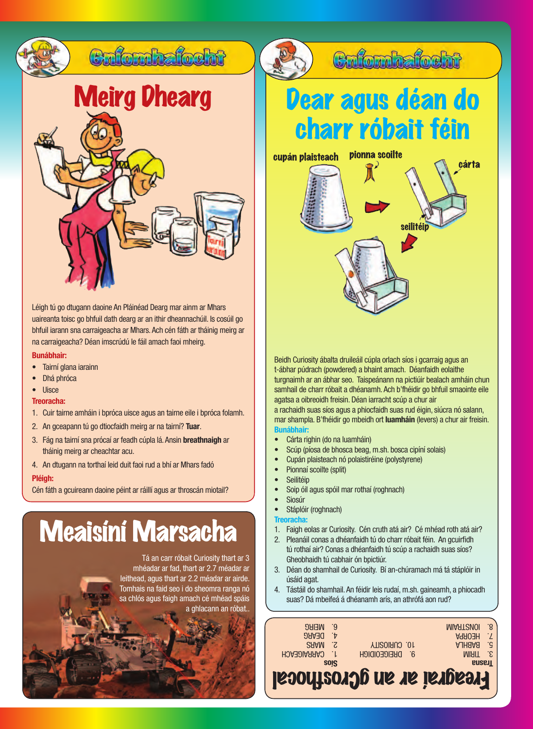

Léigh tú go dtugann daoine An Pláinéad Dearg mar ainm ar Mhars uaireanta toisc go bhfuil dath dearg ar an ithir dheannachúil. Is cosúil go bhfuil iarann sna carraigeacha ar Mhars. Ach cén fáth ar tháinig meirg ar na carraigeacha? Déan imscrúdú le fáil amach faoi mheirg.

### **Bunábhair:**

- Tairní glana iarainn
- Dhá phróca
- Uisce

## **Treoracha:**

- 1. Cuir tairne amháin i bpróca uisce agus an tairne eile i bpróca folamh.
- 2. An gceapann tú go dtiocfaidh meirg ar na tairní? **Tuar**.
- 3. Fág na tairní sna prócaí ar feadh cúpla lá. Ansin **breathnaigh** ar tháinig meirg ar cheachtar acu.
- 4. An dtugann na torthaí leid duit faoi rud a bhí ar Mhars fadó

## **Pléigh:**

Cén fáth a gcuireann daoine péint ar ráillí agus ar throscán miotail?

# Meaisíní Marsacha

Tá an carr róbait Curiosity thart ar 3 mhéadar ar fad, thart ar 2.7 méadar ar leithead, agus thart ar 2.2 méadar ar airde. Tomhais na faid seo i do sheomra ranga nó sa chlós agus faigh amach cé mhéad spáis a ghlacann an róbat..

Culombalosht

# Dear agus déan do charr róbait féin

cupán plaisteach pionna scoilte<br>
and cárta



seilitéip

Beidh Curiosity ábalta druileáil cúpla orlach síos i gcarraig agus an t-ábhar púdrach (powdered) a bhaint amach. Déanfaidh eolaithe turgnaimh ar an ábhar seo. Taispeánann na pictiúir bealach amháin chun samhail de charr róbait a dhéanamh. Ach b'fhéidir go bhfuil smaointe eile agatsa a oibreoidh freisin. Déan iarracht scúp a chur air a rachaidh suas síos agus a phiocfaidh suas rud éigin, siúcra nó salann, mar shampla. B'fhéidir go mbeidh ort **luamháin** (levers) a chur air freisin. **Bunábhair:**

1. Faigh eolas ar Curiosity. Cén cruth atá air? Cé mhéad roth atá air? 2. Pleanáil conas a dhéanfaidh tú do charr róbait féin. An gcuirfidh tú rothaí air? Conas a dhéanfaidh tú scúp a rachaidh suas síos?

3. Déan do shamhail de Curiosity. Bí an-chúramach má tá stáplóir in

4. Tástáil do shamhail. An féidir leis rudaí, m.sh. gaineamh, a phiocadh suas? Dá mbeifeá á dhéanamh arís, an athrófá aon rud?

Freagraí ar an gCrosfhocal

**B. DREIGEOIDIGH YTISOIRUO .01** 

**Trasna** 3. TIRIM AJHAAB .d **AROBH** T **MIAATSMOI** .8

• Cárta righin (do na luamháin)

Pionnaí scoilte (split)

Stáplóir (roghnach)

**Seilitéip** 

**Siosúr** 

úsáid agat.

**Treoracha:**

- Scúp (píosa de bhosca beag, m.sh. bosca cipíní solais)
- 
- 
- 
- 
- 
- 
- 
- 
- 
- Cupán plaisteach nó polaistiréine (polystyrene)

• Soip óil agus spóil mar rothaí (roghnach)

Gheobhaidh tú cabhair ón bpictiúr.

**Síos**

HOABDIARRAO . I SAAM<sub>3</sub> DEARG 4. **NEIRG** 

- 
- 
- 
- 
- 
- 
- 
-